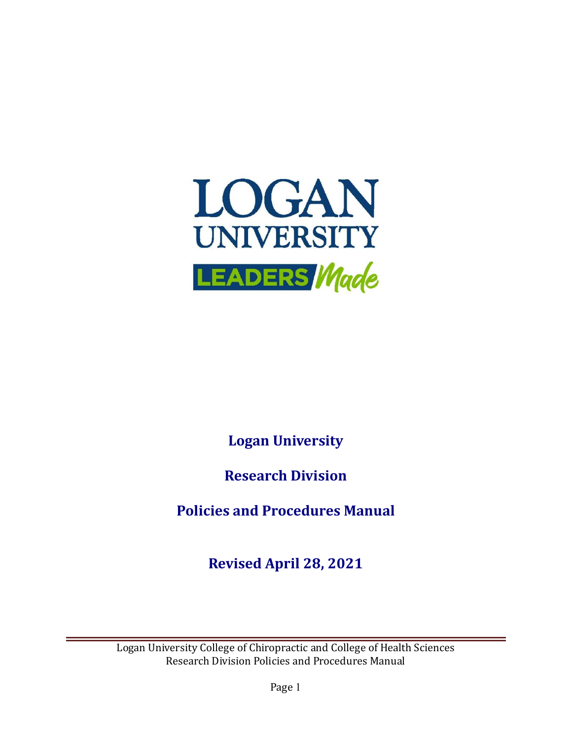

**Logan University**

**Research Division**

**Policies and Procedures Manual**

**Revised April 28, 2021**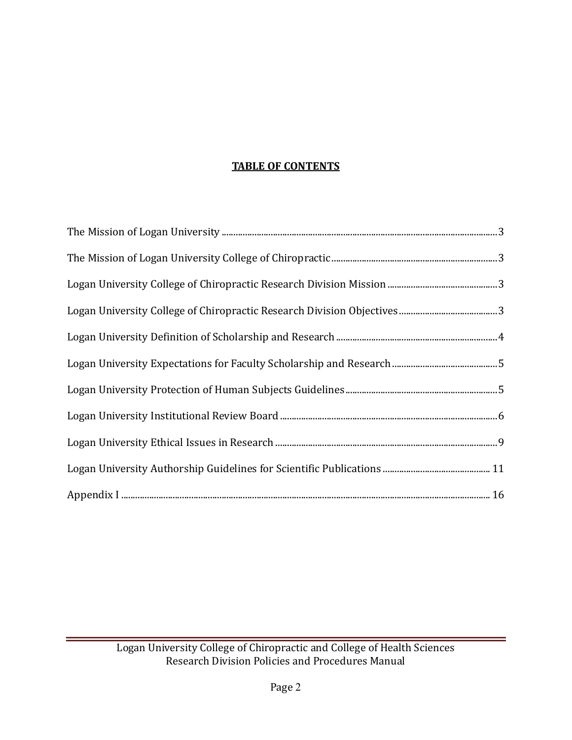# **TABLE OF CONTENTS**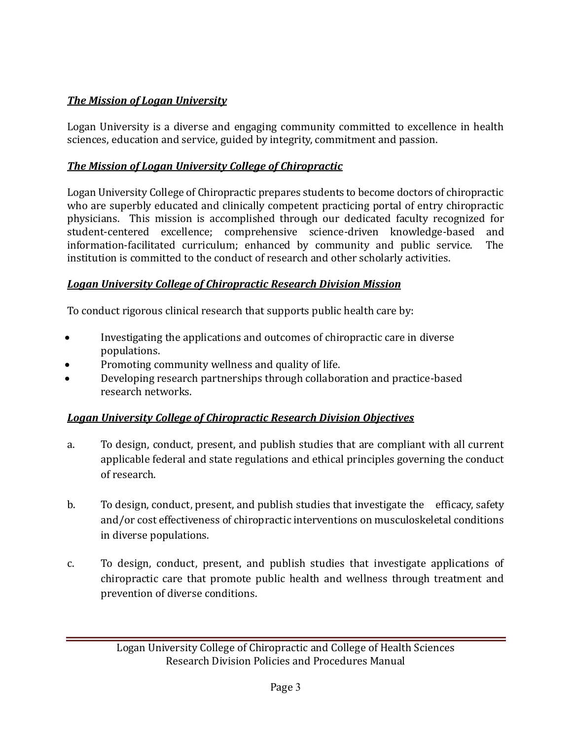# *The Mission of Logan University*

Logan University is a diverse and engaging community committed to excellence in health sciences, education and service, guided by integrity, commitment and passion.

# *The Mission of Logan University College of Chiropractic*

Logan University College of Chiropractic prepares students to become doctors of chiropractic who are superbly educated and clinically competent practicing portal of entry chiropractic physicians. This mission is accomplished through our dedicated faculty recognized for student-centered excellence; comprehensive science-driven knowledge-based and information-facilitated curriculum; enhanced by community and public service. The institution is committed to the conduct of research and other scholarly activities.

#### *Logan University College of Chiropractic Research Division Mission*

To conduct rigorous clinical research that supports public health care by:

- Investigating the applications and outcomes of chiropractic care in diverse populations.
- Promoting community wellness and quality of life.
- Developing research partnerships through collaboration and practice-based research networks.

# *Logan University College of Chiropractic Research Division Objectives*

- a. To design, conduct, present, and publish studies that are compliant with all current applicable federal and state regulations and ethical principles governing the conduct of research.
- b. To design, conduct, present, and publish studies that investigate the efficacy, safety and/or cost effectiveness of chiropractic interventions on musculoskeletal conditions in diverse populations.
- c. To design, conduct, present, and publish studies that investigate applications of chiropractic care that promote public health and wellness through treatment and prevention of diverse conditions.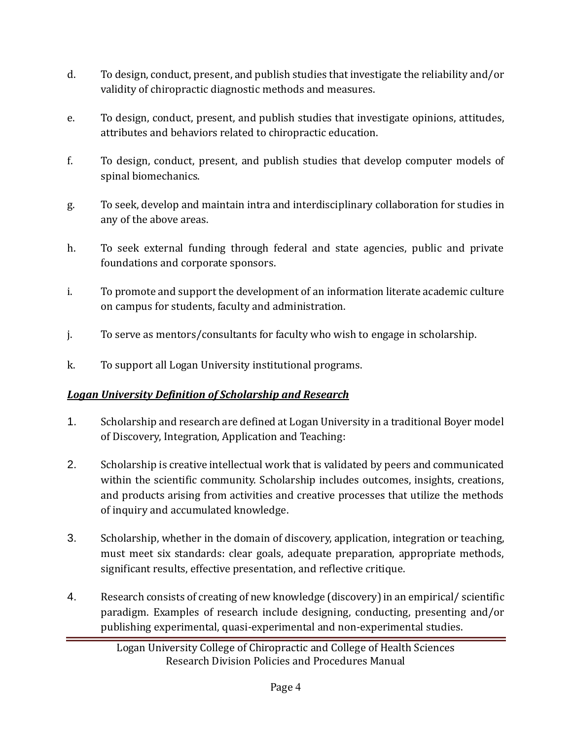- d. To design, conduct, present, and publish studies that investigate the reliability and/or validity of chiropractic diagnostic methods and measures.
- e. To design, conduct, present, and publish studies that investigate opinions, attitudes, attributes and behaviors related to chiropractic education.
- f. To design, conduct, present, and publish studies that develop computer models of spinal biomechanics.
- g. To seek, develop and maintain intra and interdisciplinary collaboration for studies in any of the above areas.
- h. To seek external funding through federal and state agencies, public and private foundations and corporate sponsors.
- i. To promote and support the development of an information literate academic culture on campus for students, faculty and administration.
- j. To serve as mentors/consultants for faculty who wish to engage in scholarship.
- k. To support all Logan University institutional programs.

# *Logan University Definition of Scholarship and Research*

- 1. Scholarship and research are defined at Logan University in a traditional Boyer model of Discovery, Integration, Application and Teaching:
- 2. Scholarship is creative intellectual work that is validated by peers and communicated within the scientific community. Scholarship includes outcomes, insights, creations, and products arising from activities and creative processes that utilize the methods of inquiry and accumulated knowledge.
- 3. Scholarship, whether in the domain of discovery, application, integration or teaching, must meet six standards: clear goals, adequate preparation, appropriate methods, significant results, effective presentation, and reflective critique.
- 4. Research consists of creating of new knowledge (discovery) in an empirical/ scientific paradigm. Examples of research include designing, conducting, presenting and/or publishing experimental, quasi-experimental and non-experimental studies.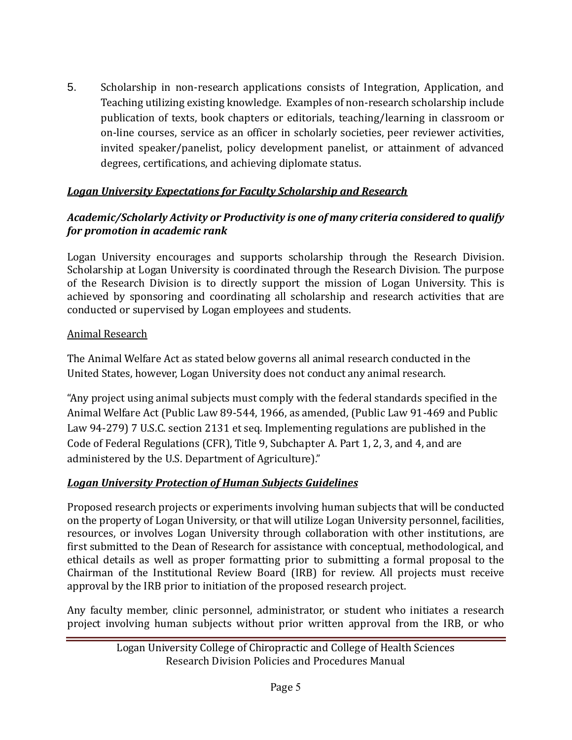5. Scholarship in non-research applications consists of Integration, Application, and Teaching utilizing existing knowledge. Examples of non-research scholarship include publication of texts, book chapters or editorials, teaching/learning in classroom or on-line courses, service as an officer in scholarly societies, peer reviewer activities, invited speaker/panelist, policy development panelist, or attainment of advanced degrees, certifications, and achieving diplomate status.

# *Logan University Expectations for Faculty Scholarship and Research*

#### *Academic/Scholarly Activity or Productivity is one of many criteria considered to qualify for promotion in academic rank*

Logan University encourages and supports scholarship through the Research Division. Scholarship at Logan University is coordinated through the Research Division. The purpose of the Research Division is to directly support the mission of Logan University. This is achieved by sponsoring and coordinating all scholarship and research activities that are conducted or supervised by Logan employees and students.

#### Animal Research

The Animal Welfare Act as stated below governs all animal research conducted in the United States, however, Logan University does not conduct any animal research.

"Any project using animal subjects must comply with the federal standards specified in the Animal Welfare Act (Public Law 89-544, 1966, as amended, (Public Law 91-469 and Public Law 94-279) 7 U.S.C. section 2131 et seq. Implementing regulations are published in the Code of Federal Regulations (CFR), Title 9, Subchapter A. Part 1, 2, 3, and 4, and are administered by the U.S. Department of Agriculture)."

#### *Logan University Protection of Human Subjects Guidelines*

Proposed research projects or experiments involving human subjects that will be conducted on the property of Logan University, or that will utilize Logan University personnel, facilities, resources, or involves Logan University through collaboration with other institutions, are first submitted to the Dean of Research for assistance with conceptual, methodological, and ethical details as well as proper formatting prior to submitting a formal proposal to the Chairman of the Institutional Review Board (IRB) for review. All projects must receive approval by the IRB prior to initiation of the proposed research project.

Any faculty member, clinic personnel, administrator, or student who initiates a research project involving human subjects without prior written approval from the IRB, or who

Logan University College of Chiropractic and College of Health Sciences Research Division Policies and Procedures Manual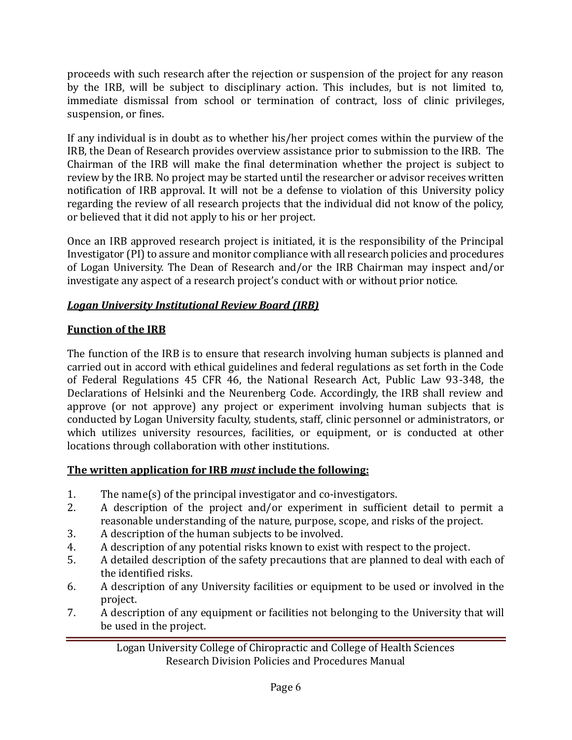proceeds with such research after the rejection or suspension of the project for any reason by the IRB, will be subject to disciplinary action. This includes, but is not limited to, immediate dismissal from school or termination of contract, loss of clinic privileges, suspension, or fines.

If any individual is in doubt as to whether his/her project comes within the purview of the IRB, the Dean of Research provides overview assistance prior to submission to the IRB. The Chairman of the IRB will make the final determination whether the project is subject to review by the IRB. No project may be started until the researcher or advisor receives written notification of IRB approval. It will not be a defense to violation of this University policy regarding the review of all research projects that the individual did not know of the policy, or believed that it did not apply to his or her project.

Once an IRB approved research project is initiated, it is the responsibility of the Principal Investigator (PI) to assure and monitor compliance with all research policies and procedures of Logan University. The Dean of Research and/or the IRB Chairman may inspect and/or investigate any aspect of a research project's conduct with or without prior notice.

# *Logan University Institutional Review Board (IRB)*

# **Function of the IRB**

The function of the IRB is to ensure that research involving human subjects is planned and carried out in accord with ethical guidelines and federal regulations as set forth in the Code of Federal Regulations 45 CFR 46, the National Research Act, Public Law 93-348, the Declarations of Helsinki and the Neurenberg Code. Accordingly, the IRB shall review and approve (or not approve) any project or experiment involving human subjects that is conducted by Logan University faculty, students, staff, clinic personnel or administrators, or which utilizes university resources, facilities, or equipment, or is conducted at other locations through collaboration with other institutions.

# **The written application for IRB** *must* **include the following:**

- 1. The name(s) of the principal investigator and co-investigators.
- 2. A description of the project and/or experiment in sufficient detail to permit a reasonable understanding of the nature, purpose, scope, and risks of the project.
- 3. A description of the human subjects to be involved.
- 4. A description of any potential risks known to exist with respect to the project.
- 5. A detailed description of the safety precautions that are planned to deal with each of the identified risks.
- 6. A description of any University facilities or equipment to be used or involved in the project.
- 7. A description of any equipment or facilities not belonging to the University that will be used in the project.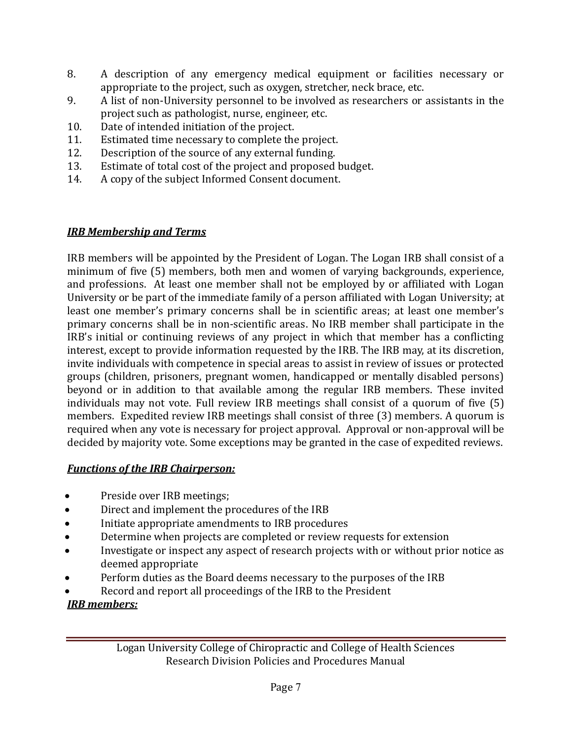- 8. A description of any emergency medical equipment or facilities necessary or appropriate to the project, such as oxygen, stretcher, neck brace, etc.
- 9. A list of non-University personnel to be involved as researchers or assistants in the project such as pathologist, nurse, engineer, etc.
- 10. Date of intended initiation of the project.
- 11. Estimated time necessary to complete the project.
- 12. Description of the source of any external funding.
- 13. Estimate of total cost of the project and proposed budget.
- 14. A copy of the subject Informed Consent document.

# *IRB Membership and Terms*

IRB members will be appointed by the President of Logan. The Logan IRB shall consist of a minimum of five (5) members, both men and women of varying backgrounds, experience, and professions. At least one member shall not be employed by or affiliated with Logan University or be part of the immediate family of a person affiliated with Logan University; at least one member's primary concerns shall be in scientific areas; at least one member's primary concerns shall be in non-scientific areas. No IRB member shall participate in the IRB's initial or continuing reviews of any project in which that member has a conflicting interest, except to provide information requested by the IRB. The IRB may, at its discretion, invite individuals with competence in special areas to assist in review of issues or protected groups (children, prisoners, pregnant women, handicapped or mentally disabled persons) beyond or in addition to that available among the regular IRB members. These invited individuals may not vote. Full review IRB meetings shall consist of a quorum of five (5) members. Expedited review IRB meetings shall consist of three (3) members. A quorum is required when any vote is necessary for project approval. Approval or non-approval will be decided by majority vote. Some exceptions may be granted in the case of expedited reviews.

# *Functions of the IRB Chairperson:*

- Preside over IRB meetings;
- Direct and implement the procedures of the IRB
- Initiate appropriate amendments to IRB procedures
- Determine when projects are completed or review requests for extension
- Investigate or inspect any aspect of research projects with or without prior notice as deemed appropriate
- Perform duties as the Board deems necessary to the purposes of the IRB
- Record and report all proceedings of the IRB to the President

# *IRB members:*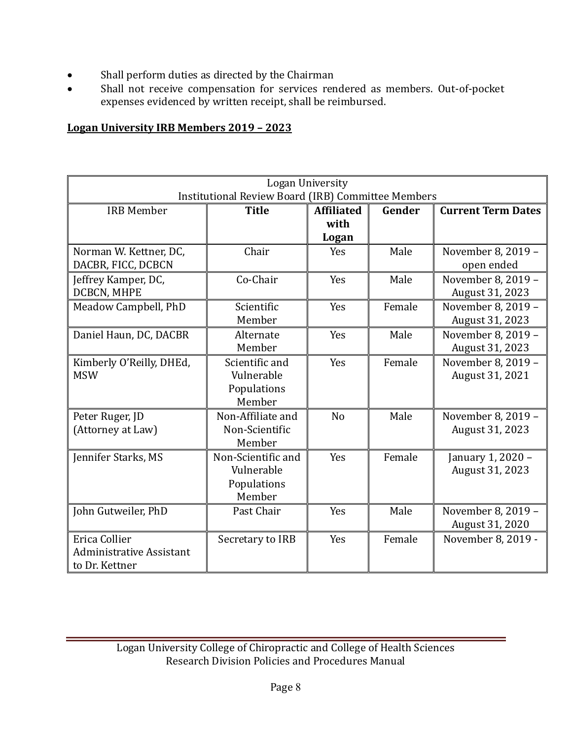- Shall perform duties as directed by the Chairman
- Shall not receive compensation for services rendered as members. Out-of-pocket expenses evidenced by written receipt, shall be reimbursed.

#### **Logan University IRB Members 2019 – 2023**

| Logan University<br><b>Institutional Review Board (IRB) Committee Members</b> |                                                           |                                    |        |                                       |  |  |
|-------------------------------------------------------------------------------|-----------------------------------------------------------|------------------------------------|--------|---------------------------------------|--|--|
| <b>IRB Member</b>                                                             | <b>Title</b>                                              | <b>Affiliated</b><br>with<br>Logan | Gender | <b>Current Term Dates</b>             |  |  |
| Norman W. Kettner, DC,<br>DACBR, FICC, DCBCN                                  | Chair                                                     | Yes                                | Male   | November 8, 2019 -<br>open ended      |  |  |
| Jeffrey Kamper, DC,<br>DCBCN, MHPE                                            | Co-Chair                                                  | Yes                                | Male   | November 8, 2019 -<br>August 31, 2023 |  |  |
| Meadow Campbell, PhD                                                          | Scientific<br>Member                                      | Yes                                | Female | November 8, 2019 -<br>August 31, 2023 |  |  |
| Daniel Haun, DC, DACBR                                                        | Alternate<br>Member                                       | Yes                                | Male   | November 8, 2019 -<br>August 31, 2023 |  |  |
| Kimberly O'Reilly, DHEd,<br><b>MSW</b>                                        | Scientific and<br>Vulnerable<br>Populations<br>Member     | Yes                                | Female | November 8, 2019 -<br>August 31, 2021 |  |  |
| Peter Ruger, JD<br>(Attorney at Law)                                          | Non-Affiliate and<br>Non-Scientific<br>Member             | N <sub>o</sub>                     | Male   | November 8, 2019 -<br>August 31, 2023 |  |  |
| Jennifer Starks, MS                                                           | Non-Scientific and<br>Vulnerable<br>Populations<br>Member | Yes                                | Female | January 1, 2020 -<br>August 31, 2023  |  |  |
| John Gutweiler, PhD                                                           | Past Chair                                                | Yes                                | Male   | November 8, 2019 -<br>August 31, 2020 |  |  |
| Erica Collier<br><b>Administrative Assistant</b><br>to Dr. Kettner            | Secretary to IRB                                          | Yes                                | Female | November 8, 2019 -                    |  |  |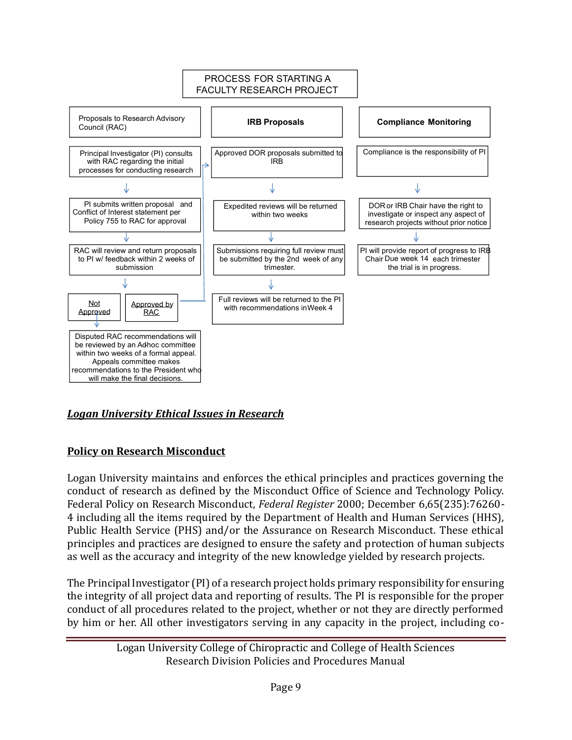

# *Logan University Ethical Issues in Research*

# **Policy on Research Misconduct**

Logan University maintains and enforces the ethical principles and practices governing the conduct of research as defined by the Misconduct Office of Science and Technology Policy. Federal Policy on Research Misconduct, *Federal Register* 2000; December 6,65(235):76260- 4 including all the items required by the Department of Health and Human Services (HHS), Public Health Service (PHS) and/or the Assurance on Research Misconduct. These ethical principles and practices are designed to ensure the safety and protection of human subjects as well as the accuracy and integrity of the new knowledge yielded by research projects.

The Principal Investigator (PI) of a research project holds primary responsibility for ensuring the integrity of all project data and reporting of results. The PI is responsible for the proper conduct of all procedures related to the project, whether or not they are directly performed by him or her. All other investigators serving in any capacity in the project, including co-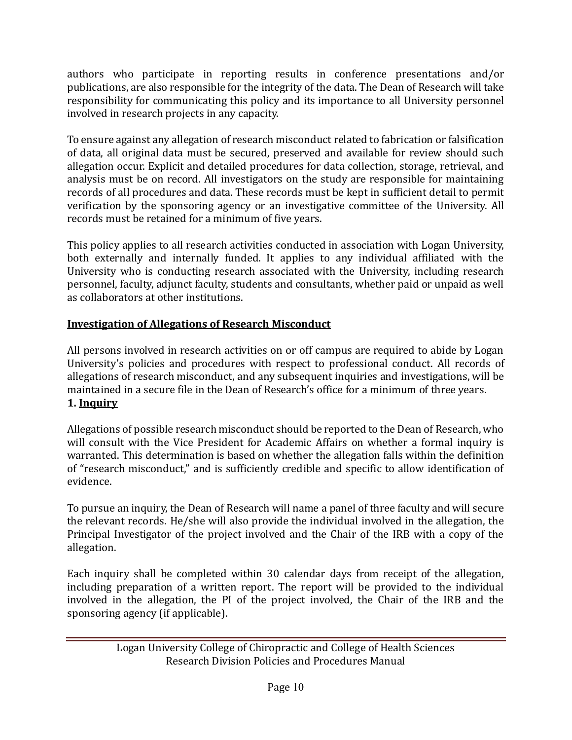authors who participate in reporting results in conference presentations and/or publications, are also responsible for the integrity of the data. The Dean of Research will take responsibility for communicating this policy and its importance to all University personnel involved in research projects in any capacity.

To ensure against any allegation of research misconduct related to fabrication or falsification of data, all original data must be secured, preserved and available for review should such allegation occur. Explicit and detailed procedures for data collection, storage, retrieval, and analysis must be on record. All investigators on the study are responsible for maintaining records of all procedures and data. These records must be kept in sufficient detail to permit verification by the sponsoring agency or an investigative committee of the University. All records must be retained for a minimum of five years.

This policy applies to all research activities conducted in association with Logan University, both externally and internally funded. It applies to any individual affiliated with the University who is conducting research associated with the University, including research personnel, faculty, adjunct faculty, students and consultants, whether paid or unpaid as well as collaborators at other institutions.

# **Investigation of Allegations of Research Misconduct**

All persons involved in research activities on or off campus are required to abide by Logan University's policies and procedures with respect to professional conduct. All records of allegations of research misconduct, and any subsequent inquiries and investigations, will be maintained in a secure file in the Dean of Research's office for a minimum of three years. **1. Inquiry**

Allegations of possible research misconduct should be reported to the Dean of Research, who will consult with the Vice President for Academic Affairs on whether a formal inquiry is warranted. This determination is based on whether the allegation falls within the definition of "research misconduct," and is sufficiently credible and specific to allow identification of evidence.

To pursue an inquiry, the Dean of Research will name a panel of three faculty and will secure the relevant records. He/she will also provide the individual involved in the allegation, the Principal Investigator of the project involved and the Chair of the IRB with a copy of the allegation.

Each inquiry shall be completed within 30 calendar days from receipt of the allegation, including preparation of a written report. The report will be provided to the individual involved in the allegation, the PI of the project involved, the Chair of the IRB and the sponsoring agency (if applicable).

Logan University College of Chiropractic and College of Health Sciences Research Division Policies and Procedures Manual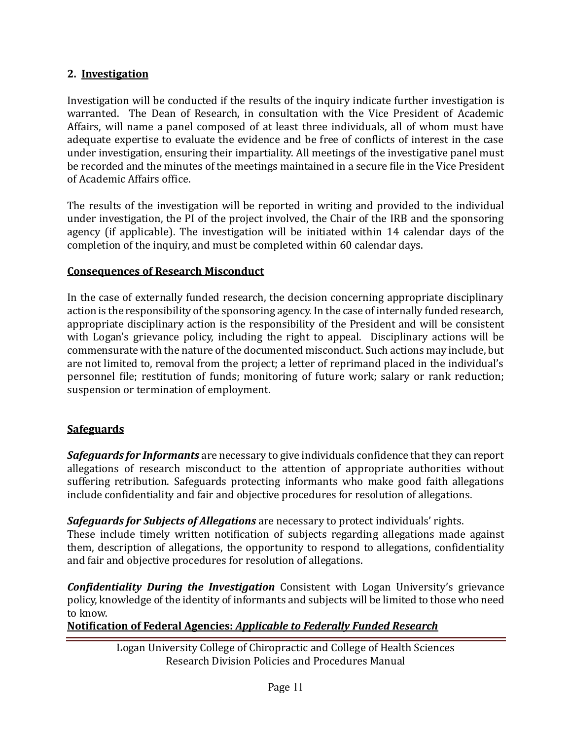#### **2. Investigation**

Investigation will be conducted if the results of the inquiry indicate further investigation is warranted. The Dean of Research, in consultation with the Vice President of Academic Affairs, will name a panel composed of at least three individuals, all of whom must have adequate expertise to evaluate the evidence and be free of conflicts of interest in the case under investigation, ensuring their impartiality. All meetings of the investigative panel must be recorded and the minutes of the meetings maintained in a secure file in the Vice President of Academic Affairs office.

The results of the investigation will be reported in writing and provided to the individual under investigation, the PI of the project involved, the Chair of the IRB and the sponsoring agency (if applicable). The investigation will be initiated within 14 calendar days of the completion of the inquiry, and must be completed within 60 calendar days.

#### **Consequences of Research Misconduct**

In the case of externally funded research, the decision concerning appropriate disciplinary action is the responsibility of the sponsoring agency. In the case of internally funded research, appropriate disciplinary action is the responsibility of the President and will be consistent with Logan's grievance policy, including the right to appeal. Disciplinary actions will be commensurate with the nature of the documented misconduct. Such actions may include, but are not limited to, removal from the project; a letter of reprimand placed in the individual's personnel file; restitution of funds; monitoring of future work; salary or rank reduction; suspension or termination of employment.

#### **Safeguards**

*Safeguards for Informants* are necessary to give individuals confidence that they can report allegations of research misconduct to the attention of appropriate authorities without suffering retribution. Safeguards protecting informants who make good faith allegations include confidentiality and fair and objective procedures for resolution of allegations.

*Safeguards for Subjects of Allegations* are necessary to protect individuals' rights. These include timely written notification of subjects regarding allegations made against

them, description of allegations, the opportunity to respond to allegations, confidentiality and fair and objective procedures for resolution of allegations.

*Confidentiality During the Investigation* Consistent with Logan University's grievance policy, knowledge of the identity of informants and subjects will be limited to those who need to know.

**Notification of Federal Agencies:** *Applicable to Federally Funded Research*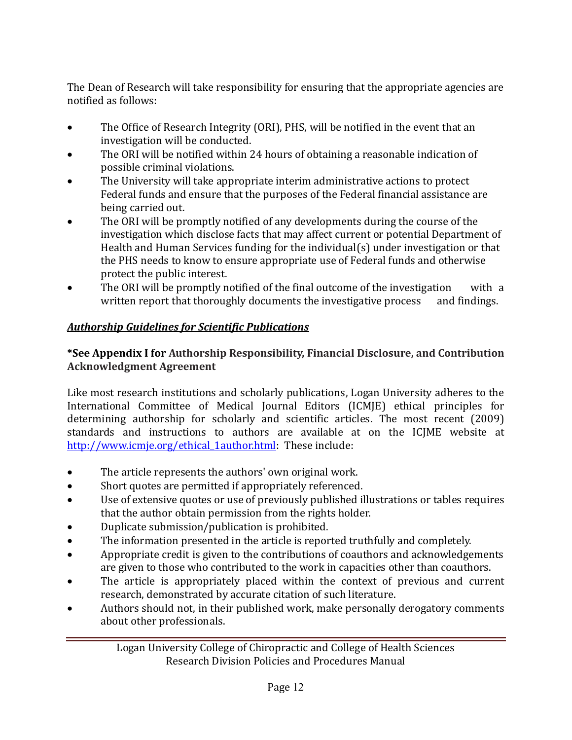The Dean of Research will take responsibility for ensuring that the appropriate agencies are notified as follows:

- The Office of Research Integrity (ORI), PHS, will be notified in the event that an investigation will be conducted.
- The ORI will be notified within 24 hours of obtaining a reasonable indication of possible criminal violations.
- The University will take appropriate interim administrative actions to protect Federal funds and ensure that the purposes of the Federal financial assistance are being carried out.
- The ORI will be promptly notified of any developments during the course of the investigation which disclose facts that may affect current or potential Department of Health and Human Services funding for the individual(s) under investigation or that the PHS needs to know to ensure appropriate use of Federal funds and otherwise protect the public interest.
- The ORI will be promptly notified of the final outcome of the investigation with a written report that thoroughly documents the investigative process and findings.

# *Authorship Guidelines for Scientific Publications*

#### **\*See Appendix I for Authorship Responsibility, Financial Disclosure, and Contribution Acknowledgment Agreement**

Like most research institutions and scholarly publications, Logan University adheres to the International Committee of Medical Journal Editors (ICMJE) ethical principles for determining authorship for scholarly and scientific articles. The most recent (2009) standards and instructions to authors are available at on the ICJME website at [http://www.icmje.org/ethical\\_1author.html:](http://www.icmje.org/ethical_1author.html) These include:

- The article represents the authors' own original work.
- Short quotes are permitted if appropriately referenced.
- Use of extensive quotes or use of previously published illustrations or tables requires that the author obtain permission from the rights holder.
- Duplicate submission/publication is prohibited.
- The information presented in the article is reported truthfully and completely.
- Appropriate credit is given to the contributions of coauthors and acknowledgements are given to those who contributed to the work in capacities other than coauthors.
- The article is appropriately placed within the context of previous and current research, demonstrated by accurate citation of such literature.
- Authors should not, in their published work, make personally derogatory comments about other professionals.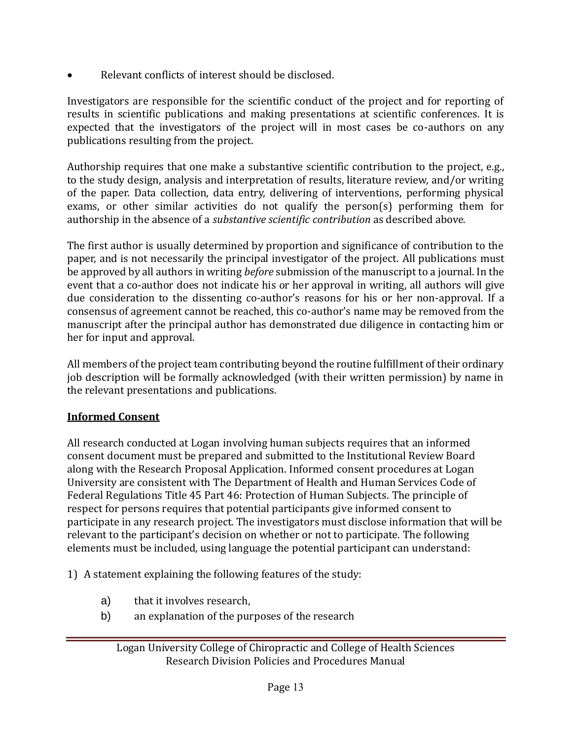• Relevant conflicts of interest should be disclosed.

Investigators are responsible for the scientific conduct of the project and for reporting of results in scientific publications and making presentations at scientific conferences. It is expected that the investigators of the project will in most cases be co-authors on any publications resulting from the project.

Authorship requires that one make a substantive scientific contribution to the project, e.g., to the study design, analysis and interpretation of results, literature review, and/or writing of the paper. Data collection, data entry, delivering of interventions, performing physical exams, or other similar activities do not qualify the person(s) performing them for authorship in the absence of a *substantive scientific contribution* as described above.

The first author is usually determined by proportion and significance of contribution to the paper, and is not necessarily the principal investigator of the project. All publications must be approved by all authors in writing *before* submission of the manuscript to a journal. In the event that a co-author does not indicate his or her approval in writing, all authors will give due consideration to the dissenting co-author's reasons for his or her non-approval. If a consensus of agreement cannot be reached, this co-author's name may be removed from the manuscript after the principal author has demonstrated due diligence in contacting him or her for input and approval.

All members of the project team contributing beyond the routine fulfillment of their ordinary job description will be formally acknowledged (with their written permission) by name in the relevant presentations and publications.

# **Informed Consent**

All research conducted at Logan involving human subjects requires that an informed consent document must be prepared and submitted to the Institutional Review Board along with the Research Proposal Application. Informed consent procedures at Logan University are consistent with The Department of Health and Human Services Code of Federal Regulations Title 45 Part 46: Protection of Human Subjects. The principle of respect for persons requires that potential participants give informed consent to participate in any research project. The investigators must disclose information that will be relevant to the participant's decision on whether or not to participate. The following elements must be included, using language the potential participant can understand:

1) A statement explaining the following features of the study:

- a) that it involves research,
- b) an explanation of the purposes of the research

Logan University College of Chiropractic and College of Health Sciences Research Division Policies and Procedures Manual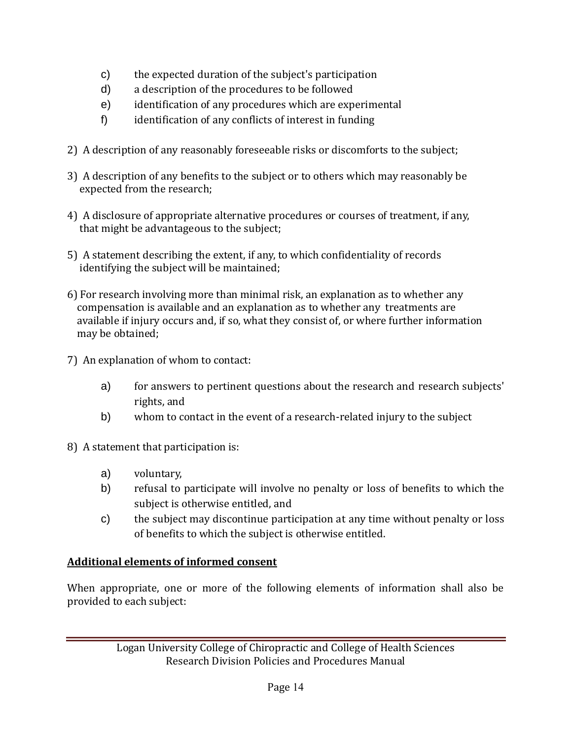- c) the expected duration of the subject's participation
- d) a description of the procedures to be followed
- e) identification of any procedures which are experimental
- f) identification of any conflicts of interest in funding
- 2) A description of any reasonably foreseeable risks or discomforts to the subject;
- 3) A description of any benefits to the subject or to others which may reasonably be expected from the research;
- 4) A disclosure of appropriate alternative procedures or courses of treatment, if any, that might be advantageous to the subject;
- 5) A statement describing the extent, if any, to which confidentiality of records identifying the subject will be maintained;
- 6) For research involving more than minimal risk, an explanation as to whether any compensation is available and an explanation as to whether any treatments are available if injury occurs and, if so, what they consist of, or where further information may be obtained;
- 7) An explanation of whom to contact:
	- a) for answers to pertinent questions about the research and research subjects' rights, and
	- b) whom to contact in the event of a research-related injury to the subject
- 8) A statement that participation is:
	- a) voluntary,
	- b) refusal to participate will involve no penalty or loss of benefits to which the subject is otherwise entitled, and
	- c) the subject may discontinue participation at any time without penalty or loss of benefits to which the subject is otherwise entitled.

# **Additional elements of informed consent**

When appropriate, one or more of the following elements of information shall also be provided to each subject: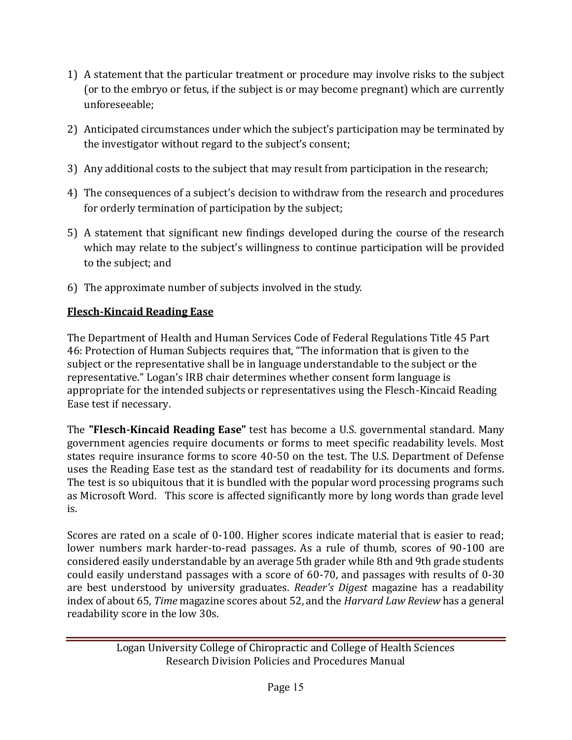- 1) A statement that the particular treatment or procedure may involve risks to the subject (or to the embryo or fetus, if the subject is or may become pregnant) which are currently unforeseeable;
- 2) Anticipated circumstances under which the subject's participation may be terminated by the investigator without regard to the subject's consent;
- 3) Any additional costs to the subject that may result from participation in the research;
- 4) The consequences of a subject's decision to withdraw from the research and procedures for orderly termination of participation by the subject;
- 5) A statement that significant new findings developed during the course of the research which may relate to the subject's willingness to continue participation will be provided to the subject; and
- 6) The approximate number of subjects involved in the study.

# **Flesch-Kincaid Reading Ease**

The Department of Health and Human Services Code of Federal Regulations Title 45 Part 46: Protection of Human Subjects requires that, "The information that is given to the subject or the representative shall be in language understandable to the subject or the representative." Logan's IRB chair determines whether consent form language is appropriate for the intended subjects or representatives using the Flesch-Kincaid Reading Ease test if necessary.

The **"Flesch-Kincaid Reading Ease"** test has become a U.S. governmental standard. Many government agencies require documents or forms to meet specific readability levels. Most states require insurance forms to score 40-50 on the test. The U.S. Department of Defense uses the Reading Ease test as the standard test of readability for its documents and forms. The test is so ubiquitous that it is bundled with the popular word processing programs such as Microsoft Word. This score is affected significantly more by long words than grade level is.

Scores are rated on a scale of 0-100. Higher scores indicate material that is easier to read; lower numbers mark harder-to-read passages. As a rule of thumb, scores of 90-100 are considered easily understandable by an average 5th grader while 8th and 9th grade students could easily understand passages with a score of 60-70, and passages with results of 0-30 are best understood by university graduates. *Reader's Digest* magazine has a readability index of about 65, *Time* magazine scores about 52, and the *Harvard Law Review* has a general readability score in the low 30s.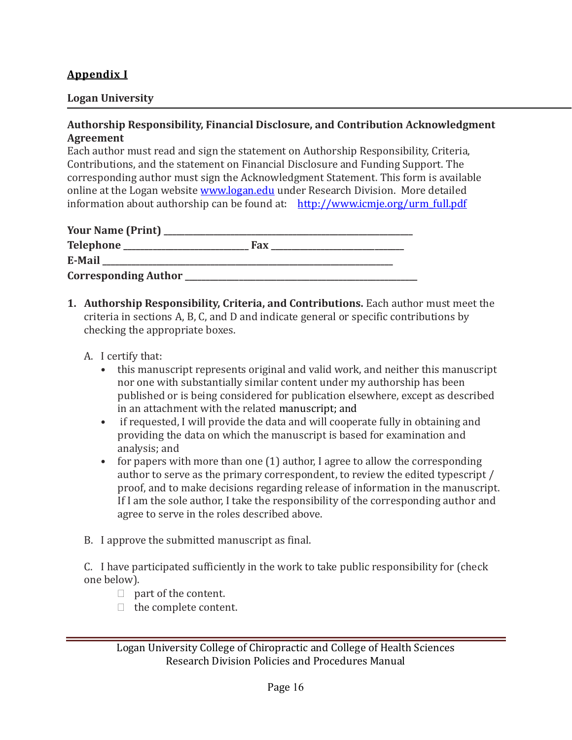#### **Appendix I**

#### **Logan University**

#### **Authorship Responsibility, Financial Disclosure, and Contribution Acknowledgment Agreement**

Each author must read and sign the statement on Authorship Responsibility, Criteria, Contributions, and the statement on Financial Disclosure and Funding Support. The corresponding author must sign the Acknowledgment Statement. This form is available online at the Logan website [www.logan.edu](http://www.logan.edu/) under Research Division. More detailed information about authorship can be found at: [http://www.icmje.org/urm\\_full.pdf](http://www.icmje.org/urm_full.pdf)

| <b>Your Name (Print)</b>    |     |
|-----------------------------|-----|
| <b>Telephone</b>            | Fax |
| E-Mail                      |     |
| <b>Corresponding Author</b> |     |

- **1. Authorship Responsibility, Criteria, and Contributions.** Each author must meet the criteria in sections A, B, C, and D and indicate general or specific contributions by checking the appropriate boxes.
	- A. I certify that:
		- this manuscript represents original and valid work, and neither this manuscript nor one with substantially similar content under my authorship has been published or is being considered for publication elsewhere, except as described in an attachment with the related manuscript; and
		- if requested, I will provide the data and will cooperate fully in obtaining and providing the data on which the manuscript is based for examination and analysis; and
		- for papers with more than one (1) author, I agree to allow the corresponding author to serve as the primary correspondent, to review the edited typescript / proof, and to make decisions regarding release of information in the manuscript. If I am the sole author, I take the responsibility of the corresponding author and agree to serve in the roles described above.
	- B. I approve the submitted manuscript as final.

C. I have participated sufficiently in the work to take public responsibility for (check one below).

- $\Box$  part of the content.
- $\Box$  the complete content.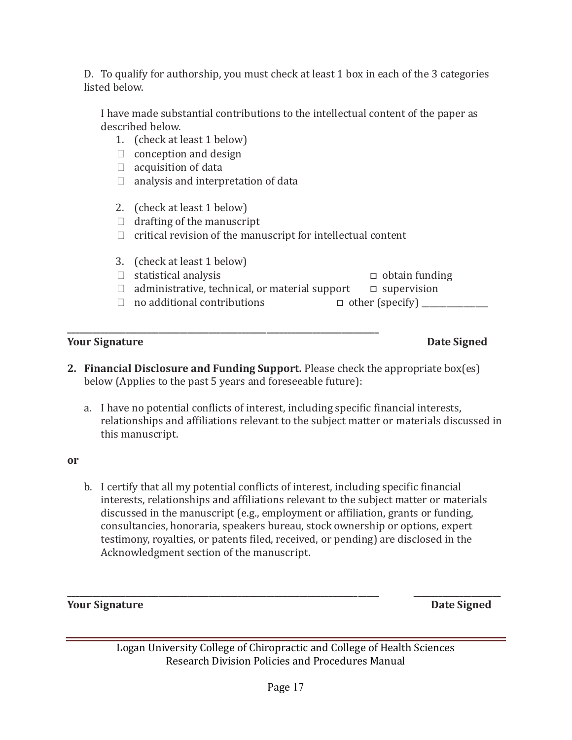D. To qualify for authorship, you must check at least 1 box in each of the 3 categories listed below.

I have made substantial contributions to the intellectual content of the paper as described below.

- 1. (check at least 1 below)
- $\Box$  conception and design
- $\Box$  acquisition of data
- $\Box$  analysis and interpretation of data

**\_\_\_\_\_\_\_\_\_\_\_\_\_\_\_\_\_\_\_\_\_\_\_\_\_\_\_\_\_\_\_\_\_\_\_\_\_\_\_\_\_\_\_\_\_\_\_\_\_\_\_\_\_\_\_\_\_\_\_\_\_\_\_\_\_\_\_\_\_\_\_\_\_\_\_**

- 2. (check at least 1 below)
- $\Box$  drafting of the manuscript
- $\Box$  critical revision of the manuscript for intellectual content
- 3. (check at least 1 below)

statistical analysis □ obtain funding

- □ administrative, technical, or material support □ supervision
- □ no additional contributions □ other (specify) \_\_\_\_\_\_\_\_\_\_\_\_\_\_\_\_\_\_\_\_\_\_\_\_\_\_\_\_\_\_\_\_

#### **Your Signature Date Signed Accord Property Accord Property Accord Property Accord Property Date Signed**

- **2. Financial Disclosure and Funding Support.** Please check the appropriate box(es) below (Applies to the past 5 years and foreseeable future):
	- a. I have no potential conflicts of interest, including specific financial interests, relationships and affiliations relevant to the subject matter or materials discussed in this manuscript.

#### **or**

b. I certify that all my potential conflicts of interest, including specific financial interests, relationships and affiliations relevant to the subject matter or materials discussed in the manuscript (e.g., employment or affiliation, grants or funding, consultancies, honoraria, speakers bureau, stock ownership or options, expert testimony, royalties, or patents filed, received, or pending) are disclosed in the Acknowledgment section of the manuscript.

**Your Signature Date Signed Accord Property Accord Participate Accord Participate Signed Participate Signed Accord Participate Signed Accord Participate Signed Accord Participate Accord Participate Accord Participate Accor** 

**\_\_\_\_\_\_\_\_\_\_\_\_\_\_\_\_\_\_\_\_\_\_\_\_\_\_\_\_\_\_\_\_\_\_\_\_\_\_\_\_\_\_\_\_\_\_\_\_\_\_\_\_\_\_\_\_\_\_\_\_\_\_\_\_\_\_\_\_\_\_\_\_\_\_\_ \_\_\_\_\_\_\_\_\_\_\_\_\_\_\_\_\_\_\_\_\_**